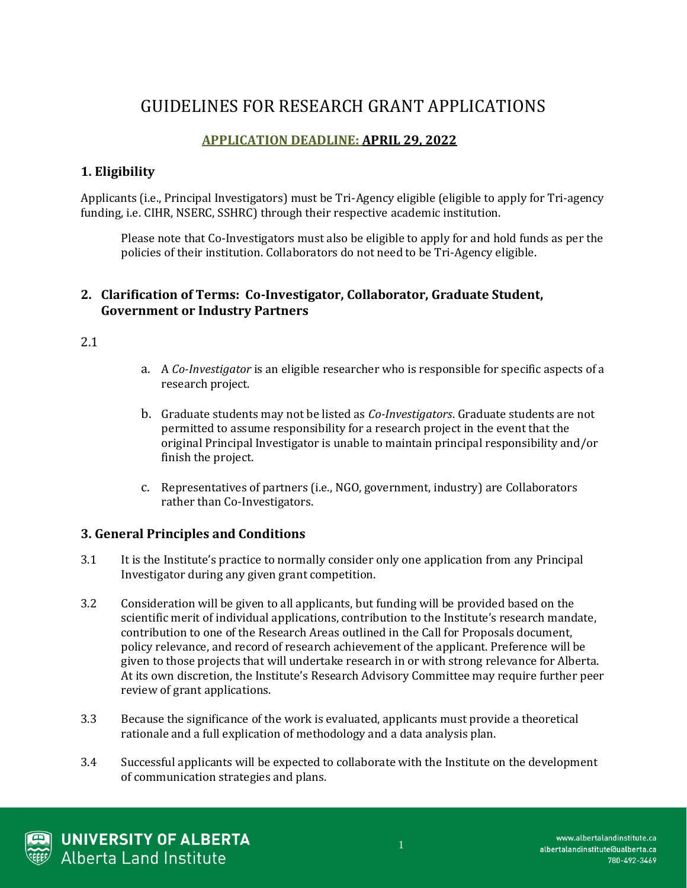# GUIDELINES FOR RESEARCH GRANT APPLICATIONS

## **APPLICATION DEADLINE: APRIL 29, 2022**

## **1. Eligibility**

Applicants (i.e., Principal Investigators) must be Tri-Agency eligible (eligible to apply for Tri-agency funding, i.e. CIHR, NSERC, SSHRC) through their respective academic institution.

Please note that Co-Investigators must also be eligible to apply for and hold funds as per the policies of their institution. Collaborators do not need to be Tri-Agency eligible.

#### **2. Clarification of Terms: Co-Investigator, Collaborator, Graduate Student, Government or Industry Partners**

2.1

- a. A *Co-Investigator* is an eligible researcher who is responsible for specific aspects of a research project.
- b. Graduate students may not be listed as *Co-Investigators*. Graduate students are not permitted to assume responsibility for a research project in the event that the original Principal Investigator is unable to maintain principal responsibility and/or finish the project.
- c. Representatives of partners (i.e., NGO, government, industry) are Collaborators rather than Co-Investigators.

#### **3. General Principles and Conditions**

- 3.1 It is the Institute's practice to normally consider only one application from any Principal Investigator during any given grant competition.
- 3.2 Consideration will be given to all applicants, but funding will be provided based on the scientific merit of individual applications, contribution to the Institute's research mandate, contribution to one of the Research Areas outlined in the Call for Proposals document, policy relevance, and record of research achievement of the applicant. Preference will be given to those projects that will undertake research in or with strong relevance for Alberta. At its own discretion, the Institute's Research Advisory Committee may require further peer review of grant applications.
- 3.3 Because the significance of the work is evaluated, applicants must provide a theoretical rationale and a full explication of methodology and a data analysis plan.
- 3.4 Successful applicants will be expected to collaborate with the Institute on the development of communication strategies and plans.

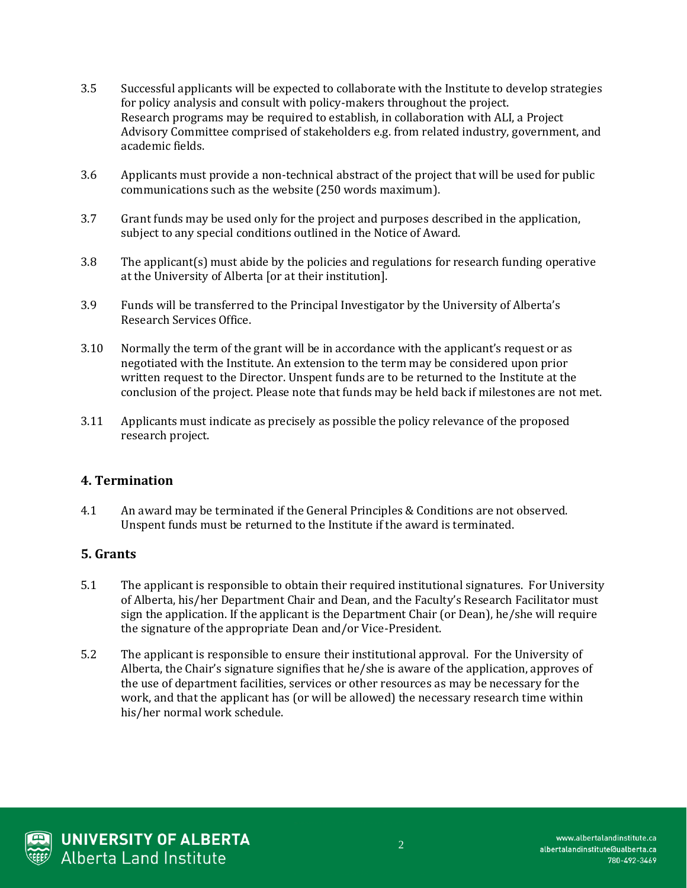- 3.5 Successful applicants will be expected to collaborate with the Institute to develop strategies for policy analysis and consult with policy-makers throughout the project. Research programs may be required to establish, in collaboration with ALI, a Project Advisory Committee comprised of stakeholders e.g. from related industry, government, and academic fields.
- 3.6 Applicants must provide a non-technical abstract of the project that will be used for public communications such as the website (250 words maximum).
- 3.7 Grant funds may be used only for the project and purposes described in the application, subject to any special conditions outlined in the Notice of Award.
- 3.8 The applicant(s) must abide by the policies and regulations for research funding operative at the University of Alberta [or at their institution].
- 3.9 Funds will be transferred to the Principal Investigator by the University of Alberta's Research Services Office.
- 3.10 Normally the term of the grant will be in accordance with the applicant's request or as negotiated with the Institute. An extension to the term may be considered upon prior written request to the Director. Unspent funds are to be returned to the Institute at the conclusion of the project. Please note that funds may be held back if milestones are not met.
- 3.11 Applicants must indicate as precisely as possible the policy relevance of the proposed research project.

#### **4. Termination**

4.1 An award may be terminated if the General Principles & Conditions are not observed. Unspent funds must be returned to the Institute if the award is terminated.

#### **5. Grants**

- 5.1 The applicant is responsible to obtain their required institutional signatures. For University of Alberta, his/her Department Chair and Dean, and the Faculty's Research Facilitator must sign the application. If the applicant is the Department Chair (or Dean), he/she will require the signature of the appropriate Dean and/or Vice-President.
- 5.2 The applicant is responsible to ensure their institutional approval. For the University of Alberta, the Chair's signature signifies that he/she is aware of the application, approves of the use of department facilities, services or other resources as may be necessary for the work, and that the applicant has (or will be allowed) the necessary research time within his/her normal work schedule.

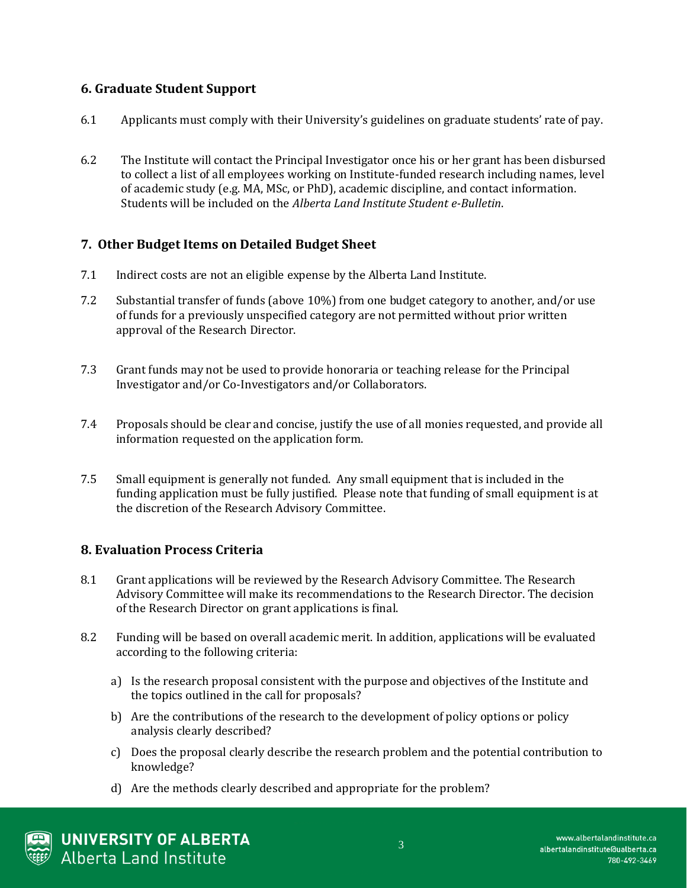## **6. Graduate Student Support**

- 6.1 Applicants must comply with their University's guidelines on graduate students' rate of pay.
- 6.2 The Institute will contact the Principal Investigator once his or her grant has been disbursed to collect a list of all employees working on Institute-funded research including names, level of academic study (e.g. MA, MSc, or PhD), academic discipline, and contact information. Students will be included on the *Alberta Land Institute Student e-Bulletin*.

### **7. Other Budget Items on Detailed Budget Sheet**

- 7.1 Indirect costs are not an eligible expense by the Alberta Land Institute.
- 7.2 Substantial transfer of funds (above 10%) from one budget category to another, and/or use of funds for a previously unspecified category are not permitted without prior written approval of the Research Director.
- 7.3 Grant funds may not be used to provide honoraria or teaching release for the Principal Investigator and/or Co-Investigators and/or Collaborators.
- 7.4 Proposals should be clear and concise, justify the use of all monies requested, and provide all information requested on the application form.
- 7.5 Small equipment is generally not funded. Any small equipment that is included in the funding application must be fully justified. Please note that funding of small equipment is at the discretion of the Research Advisory Committee.

#### **8. Evaluation Process Criteria**

- 8.1 Grant applications will be reviewed by the Research Advisory Committee. The Research Advisory Committee will make its recommendations to the Research Director. The decision of the Research Director on grant applications is final.
- 8.2 Funding will be based on overall academic merit. In addition, applications will be evaluated according to the following criteria:
	- a) Is the research proposal consistent with the purpose and objectives of the Institute and the topics outlined in the call for proposals?
	- b) Are the contributions of the research to the development of policy options or policy analysis clearly described?
	- c) Does the proposal clearly describe the research problem and the potential contribution to knowledge?
	- d) Are the methods clearly described and appropriate for the problem?